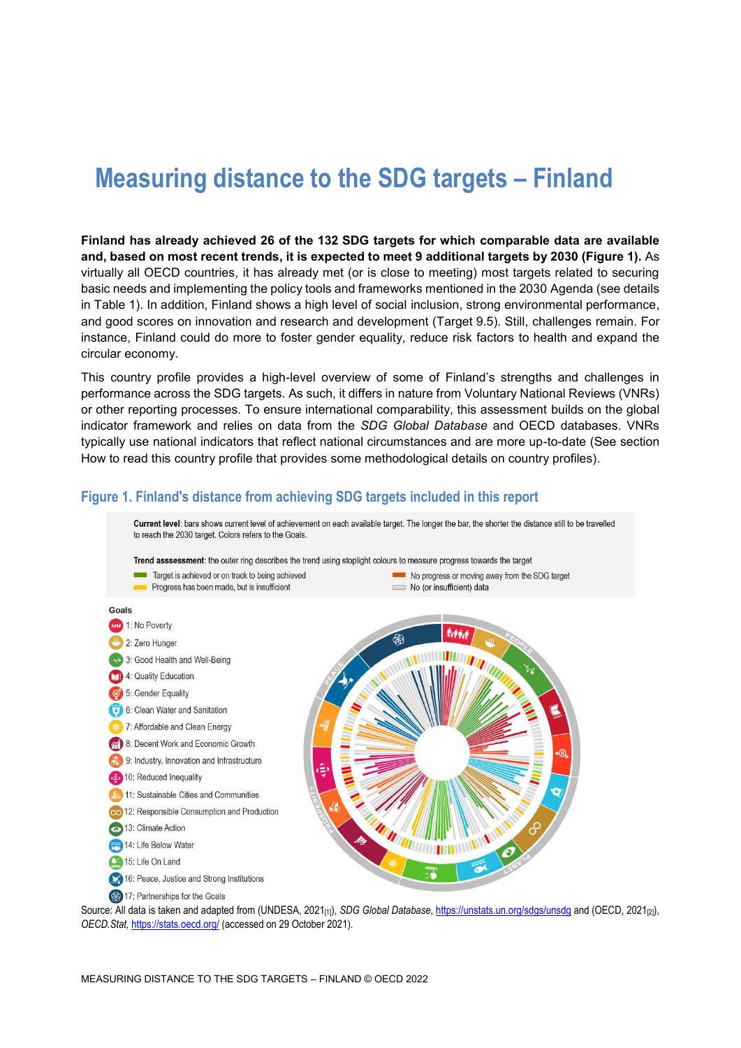# **Measuring distance to the SDG targets – Finland**

**Finland has already achieved 26 of the 132 SDG targets for which comparable data are available and, based on most recent trends, it is expected to meet 9 additional targets by 2030 [\(Figure](#page-0-0) 1).** As virtually all OECD countries, it has already met (or is close to meeting) most targets related to securing basic needs and implementing the policy tools and frameworks mentioned in the 2030 Agenda (see details in [Table](#page-3-0) 1). In addition, Finland shows a high level of social inclusion, strong environmental performance, and good scores on innovation and research and development (Target 9.5). Still, challenges remain. For instance, Finland could do more to foster gender equality, reduce risk factors to health and expand the circular economy.

This country profile provides a high-level overview of some of Finland's strengths and challenges in performance across the SDG targets. As such, it differs in nature from Voluntary National Reviews (VNRs) or other reporting processes. To ensure international comparability, this assessment builds on the global indicator framework and relies on data from the *SDG Global Database* and OECD databases. VNRs typically use national indicators that reflect national circumstances and are more up-to-date (See section [How to read this](#page-8-0) country profile that provides some methodological details on country profiles).

# <span id="page-0-0"></span>**Figure 1. Finland's distance from achieving SDG targets included in this report**

Current level: bars shows current level of achievement on each available target. The longer the bar, the shorter the distance still to be travelled to reach the 2030 target. Colors refers to the Goals. Trend asssessment: the outer ring describes the trend using stoplight colours to measure progress towards the target Target is achieved or on track to being achieved No progress or moving away from the SDG target Progress has been made, but is insufficient No (or insufficient) data



Source: All data is taken and adapted from (UNDESA, 2021<sub>[1]</sub>), *SDG Global Database*[, https://unstats.un.org/sdgs/unsdg](https://unstats.un.org/sdgs/unsdg) and (OECD, 2021<sub>[2]</sub>), *OECD.Stat,* <https://stats.oecd.org/> (accessed on 29 October 2021).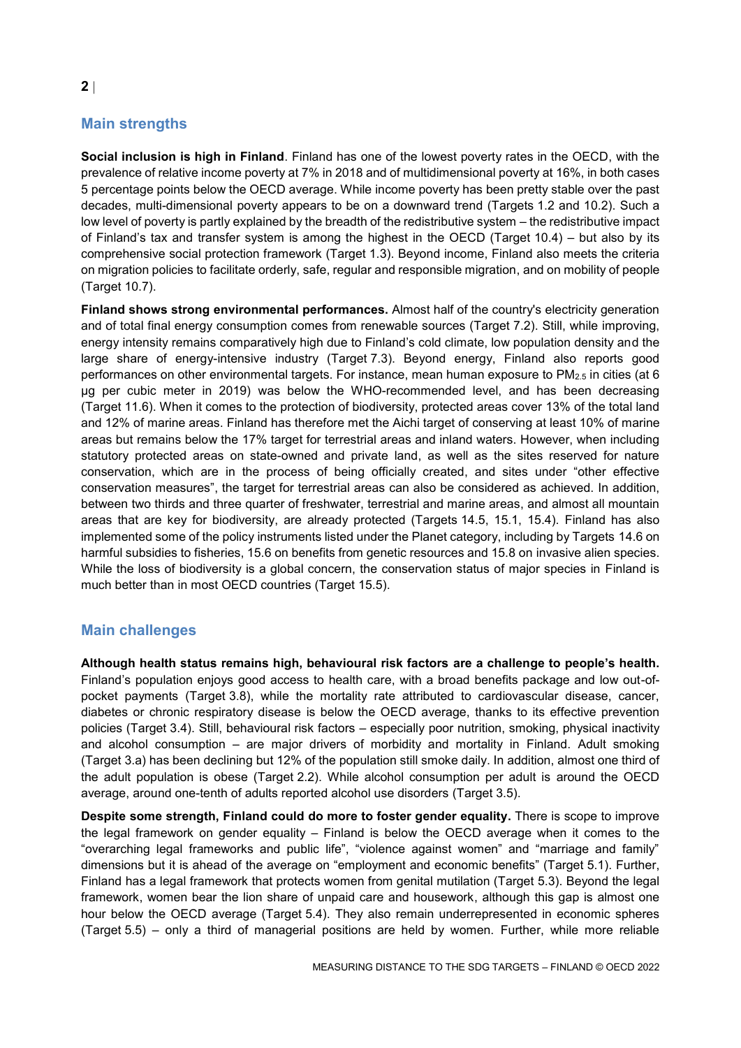# **Main strengths**

**Social inclusion is high in Finland**. Finland has one of the lowest poverty rates in the OECD, with the prevalence of relative income poverty at 7% in 2018 and of multidimensional poverty at 16%, in both cases 5 percentage points below the OECD average. While income poverty has been pretty stable over the past decades, multi-dimensional poverty appears to be on a downward trend (Targets 1.2 and 10.2). Such a low level of poverty is partly explained by the breadth of the redistributive system – the redistributive impact of Finland's tax and transfer system is among the highest in the OECD (Target 10.4) – but also by its comprehensive social protection framework (Target 1.3). Beyond income, Finland also meets the criteria on migration policies to facilitate orderly, safe, regular and responsible migration, and on mobility of people (Target 10.7).

**Finland shows strong environmental performances.** Almost half of the country's electricity generation and of total final energy consumption comes from renewable sources (Target 7.2). Still, while improving, energy intensity remains comparatively high due to Finland's cold climate, low population density and the large share of energy-intensive industry (Target 7.3). Beyond energy, Finland also reports good performances on other environmental targets. For instance, mean human exposure to PM<sub>2.5</sub> in cities (at 6 µg per cubic meter in 2019) was below the WHO-recommended level, and has been decreasing (Target 11.6). When it comes to the protection of biodiversity, protected areas cover 13% of the total land and 12% of marine areas. Finland has therefore met the Aichi target of conserving at least 10% of marine areas but remains below the 17% target for terrestrial areas and inland waters. However, when including statutory protected areas on state-owned and private land, as well as the sites reserved for nature conservation, which are in the process of being officially created, and sites under "other effective conservation measures", the target for terrestrial areas can also be considered as achieved. In addition, between two thirds and three quarter of freshwater, terrestrial and marine areas, and almost all mountain areas that are key for biodiversity, are already protected (Targets 14.5, 15.1, 15.4). Finland has also implemented some of the policy instruments listed under the Planet category, including by Targets 14.6 on harmful subsidies to fisheries, 15.6 on benefits from genetic resources and 15.8 on invasive alien species. While the loss of biodiversity is a global concern, the conservation status of major species in Finland is much better than in most OECD countries (Target 15.5).

# **Main challenges**

**Although health status remains high, behavioural risk factors are a challenge to people's health.**  Finland's population enjoys good access to health care, with a broad benefits package and low out-ofpocket payments (Target 3.8), while the mortality rate attributed to cardiovascular disease, cancer, diabetes or chronic respiratory disease is below the OECD average, thanks to its effective prevention policies (Target 3.4). Still, behavioural risk factors – especially poor nutrition, smoking, physical inactivity and alcohol consumption – are major drivers of morbidity and mortality in Finland. Adult smoking (Target 3.a) has been declining but 12% of the population still smoke daily. In addition, almost one third of the adult population is obese (Target 2.2). While alcohol consumption per adult is around the OECD average, around one-tenth of adults reported alcohol use disorders (Target 3.5).

**Despite some strength, Finland could do more to foster gender equality.** There is scope to improve the legal framework on gender equality – Finland is below the OECD average when it comes to the "overarching legal frameworks and public life", "violence against women" and "marriage and family" dimensions but it is ahead of the average on "employment and economic benefits" (Target 5.1). Further, Finland has a legal framework that protects women from genital mutilation (Target 5.3). Beyond the legal framework, women bear the lion share of unpaid care and housework, although this gap is almost one hour below the OECD average (Target 5.4). They also remain underrepresented in economic spheres (Target 5.5) – only a third of managerial positions are held by women. Further, while more reliable

**2**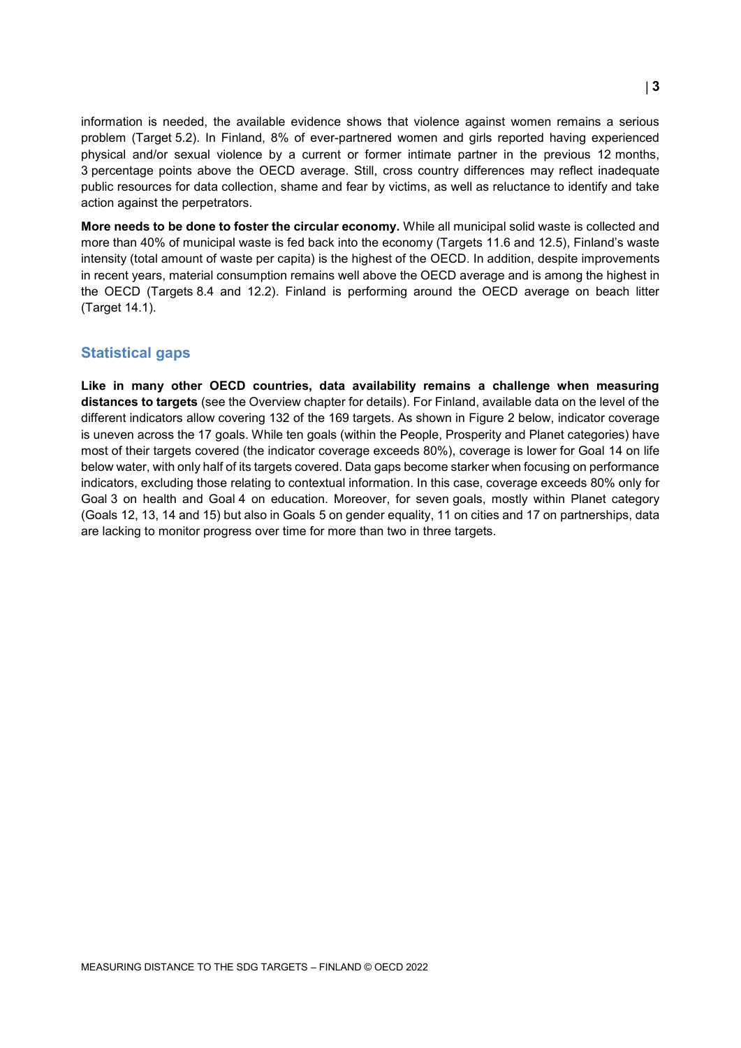information is needed, the available evidence shows that violence against women remains a serious problem (Target 5.2). In Finland, 8% of ever-partnered women and girls reported having experienced physical and/or sexual violence by a current or former intimate partner in the previous 12 months, 3 percentage points above the OECD average. Still, cross country differences may reflect inadequate public resources for data collection, shame and fear by victims, as well as reluctance to identify and take action against the perpetrators.

**More needs to be done to foster the circular economy.** While all municipal solid waste is collected and more than 40% of municipal waste is fed back into the economy (Targets 11.6 and 12.5), Finland's waste intensity (total amount of waste per capita) is the highest of the OECD. In addition, despite improvements in recent years, material consumption remains well above the OECD average and is among the highest in the OECD (Targets 8.4 and 12.2). Finland is performing around the OECD average on beach litter (Target 14.1).

# **Statistical gaps**

**Like in many other OECD countries, data availability remains a challenge when measuring distances to targets** (see the Overview chapter for details). For Finland, available data on the level of the different indicators allow covering 132 of the 169 targets. As shown in [Figure](#page-3-1) 2 below, indicator coverage is uneven across the 17 goals. While ten goals (within the People, Prosperity and Planet categories) have most of their targets covered (the indicator coverage exceeds 80%), coverage is lower for Goal 14 on life below water, with only half of its targets covered. Data gaps become starker when focusing on performance indicators, excluding those relating to contextual information. In this case, coverage exceeds 80% only for Goal 3 on health and Goal 4 on education. Moreover, for seven goals, mostly within Planet category (Goals 12, 13, 14 and 15) but also in Goals 5 on gender equality, 11 on cities and 17 on partnerships, data are lacking to monitor progress over time for more than two in three targets.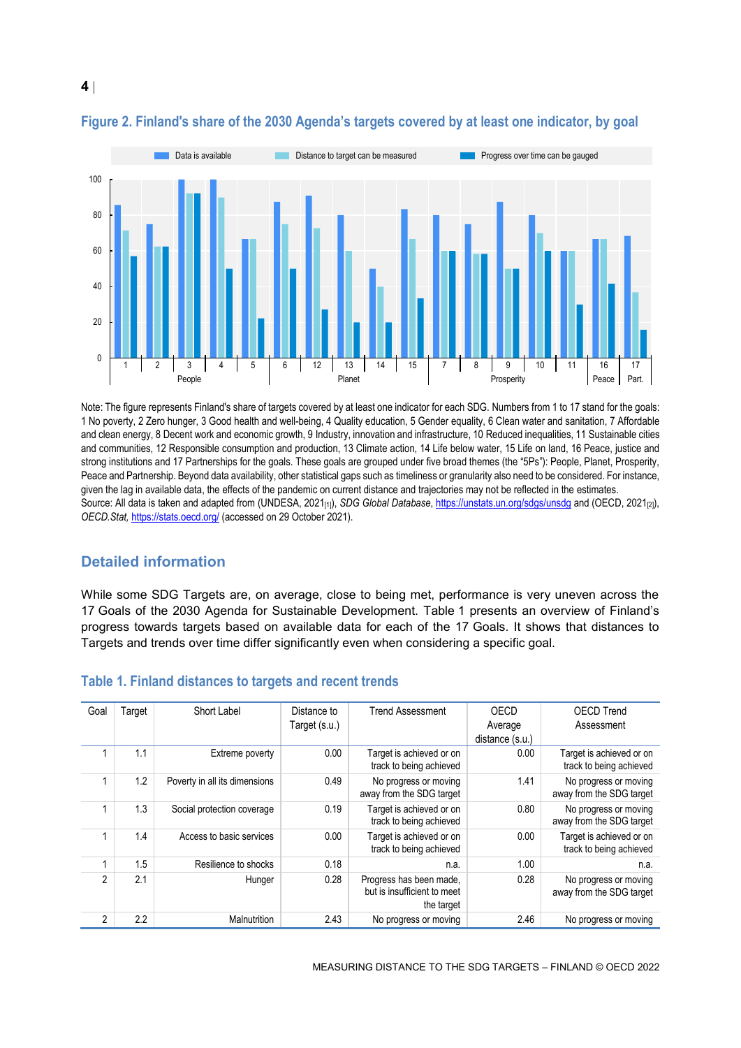

# <span id="page-3-1"></span>**Figure 2. Finland's share of the 2030 Agenda's targets covered by at least one indicator, by goal**

Note: The figure represents Finland's share of targets covered by at least one indicator for each SDG. Numbers from 1 to 17 stand for the goals: 1 No poverty, 2 Zero hunger, 3 Good health and well-being, 4 Quality education, 5 Gender equality, 6 Clean water and sanitation, 7 Affordable and clean energy, 8 Decent work and economic growth, 9 Industry, innovation and infrastructure, 10 Reduced inequalities, 11 Sustainable cities and communities, 12 Responsible consumption and production, 13 Climate action, 14 Life below water, 15 Life on land, 16 Peace, justice and strong institutions and 17 Partnerships for the goals. These goals are grouped under five broad themes (the "5Ps"): People, Planet, Prosperity, Peace and Partnership. Beyond data availability, other statistical gaps such as timeliness or granularity also need to be considered. For instance, given the lag in available data, the effects of the pandemic on current distance and trajectories may not be reflected in the estimates. Source: All data is taken and adapted from (UNDESA, 2021<sub>[1]</sub>), *SDG Global Database*[, https://unstats.un.org/sdgs/unsdg](https://unstats.un.org/sdgs/unsdg) and (OECD, 2021<sub>[2]</sub>), *OECD.Stat,* <https://stats.oecd.org/> (accessed on 29 October 2021).

# **Detailed information**

While some SDG Targets are, on average, close to being met, performance is very uneven across the 17 Goals of the 2030 Agenda for Sustainable Development. [Table](#page-3-0) 1 presents an overview of Finland's progress towards targets based on available data for each of the 17 Goals. It shows that distances to Targets and trends over time differ significantly even when considering a specific goal.

| Goal           | Target           | Short Label                   | Distance to   | Trend Assessment                                                     | OECD            | <b>OECD Trend</b>                                   |
|----------------|------------------|-------------------------------|---------------|----------------------------------------------------------------------|-----------------|-----------------------------------------------------|
|                |                  |                               | Target (s.u.) |                                                                      | Average         | Assessment                                          |
|                |                  |                               |               |                                                                      | distance (s.u.) |                                                     |
|                | 1.1              | Extreme poverty               | 0.00          | Target is achieved or on<br>track to being achieved                  | 0.00            | Target is achieved or on<br>track to being achieved |
|                | 1.2              | Poverty in all its dimensions | 0.49          | No progress or moving<br>away from the SDG target                    | 1.41            | No progress or moving<br>away from the SDG target   |
|                | 1.3              | Social protection coverage    | 0.19          | Target is achieved or on<br>track to being achieved                  | 0.80            | No progress or moving<br>away from the SDG target   |
|                | 1.4              | Access to basic services      | 0.00          | Target is achieved or on<br>track to being achieved                  | 0.00            | Target is achieved or on<br>track to being achieved |
|                | 1.5              | Resilience to shocks          | 0.18          | n.a.                                                                 | 1.00            | n.a.                                                |
| $\mathfrak{p}$ | 2.1              | Hunger                        | 0.28          | Progress has been made,<br>but is insufficient to meet<br>the target | 0.28            | No progress or moving<br>away from the SDG target   |
| $\overline{2}$ | $2.2\phantom{0}$ | Malnutrition                  | 2.43          | No progress or moving                                                | 2.46            | No progress or moving                               |

#### <span id="page-3-0"></span>**Table 1. Finland distances to targets and recent trends**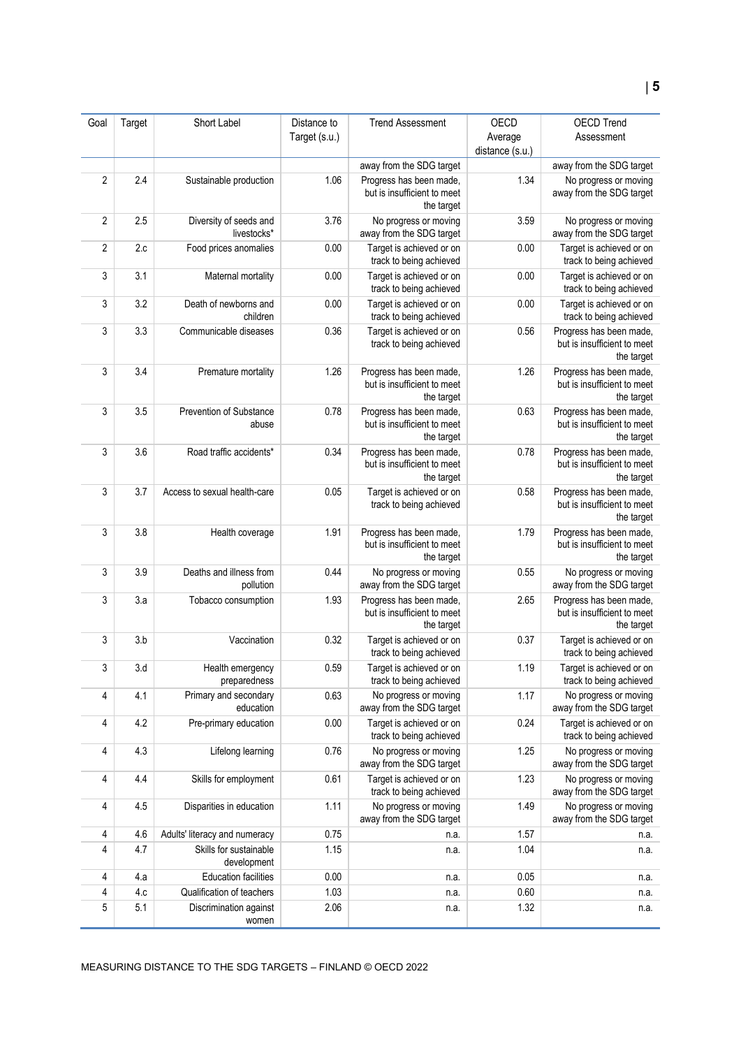| Goal                                  | Target     | Short Label                                         | Distance to   | <b>Trend Assessment</b>                                              | OECD            | <b>OECD Trend</b>                                                    |
|---------------------------------------|------------|-----------------------------------------------------|---------------|----------------------------------------------------------------------|-----------------|----------------------------------------------------------------------|
|                                       |            |                                                     | Target (s.u.) |                                                                      | Average         | Assessment                                                           |
|                                       |            |                                                     |               |                                                                      | distance (s.u.) |                                                                      |
|                                       |            |                                                     |               | away from the SDG target                                             |                 | away from the SDG target                                             |
| $\overline{2}$                        | 2.4        | Sustainable production                              | 1.06          | Progress has been made,<br>but is insufficient to meet<br>the target | 1.34            | No progress or moving<br>away from the SDG target                    |
| $\overline{2}$                        | 2.5        | Diversity of seeds and<br>livestocks*               | 3.76          | No progress or moving<br>away from the SDG target                    | 3.59            | No progress or moving<br>away from the SDG target                    |
| $\overline{2}$                        | 2.c        | Food prices anomalies                               | 0.00          | Target is achieved or on<br>track to being achieved                  | 0.00            | Target is achieved or on<br>track to being achieved                  |
| 3                                     | 3.1        | Maternal mortality                                  | 0.00          | Target is achieved or on<br>track to being achieved                  | 0.00            | Target is achieved or on<br>track to being achieved                  |
| 3                                     | 3.2        | Death of newborns and<br>children                   | 0.00          | Target is achieved or on<br>track to being achieved                  | 0.00            | Target is achieved or on<br>track to being achieved                  |
| 3                                     | 3.3        | Communicable diseases                               | 0.36          | Target is achieved or on<br>track to being achieved                  | 0.56            | Progress has been made,<br>but is insufficient to meet<br>the target |
| 3                                     | 3.4        | Premature mortality                                 | 1.26          | Progress has been made,<br>but is insufficient to meet<br>the target | 1.26            | Progress has been made,<br>but is insufficient to meet<br>the target |
| 3                                     | 3.5        | Prevention of Substance<br>abuse                    | 0.78          | Progress has been made,<br>but is insufficient to meet<br>the target | 0.63            | Progress has been made,<br>but is insufficient to meet<br>the target |
| 3                                     | 3.6        | Road traffic accidents*                             | 0.34          | Progress has been made,<br>but is insufficient to meet<br>the target | 0.78            | Progress has been made,<br>but is insufficient to meet<br>the target |
| 3                                     | 3.7        | Access to sexual health-care                        | 0.05          | Target is achieved or on<br>track to being achieved                  | 0.58            | Progress has been made,<br>but is insufficient to meet<br>the target |
| 3                                     | 3.8        | Health coverage                                     | 1.91          | Progress has been made,<br>but is insufficient to meet<br>the target | 1.79            | Progress has been made,<br>but is insufficient to meet<br>the target |
| 3                                     | 3.9        | Deaths and illness from<br>pollution                | 0.44          | No progress or moving<br>away from the SDG target                    | 0.55            | No progress or moving<br>away from the SDG target                    |
| 3                                     | 3.a        | Tobacco consumption                                 | 1.93          | Progress has been made,<br>but is insufficient to meet<br>the target | 2.65            | Progress has been made,<br>but is insufficient to meet<br>the target |
| 3                                     | 3.b        | Vaccination                                         | 0.32          | Target is achieved or on<br>track to being achieved                  | 0.37            | Target is achieved or on<br>track to being achieved                  |
| 3                                     | 3.d        | Health emergency<br>preparedness                    | 0.59          | Target is achieved or on<br>track to being achieved                  | 1.19            | Target is achieved or on<br>track to being achieved                  |
| 4                                     | 4.1        | Primary and secondary<br>education                  | 0.63          | No progress or moving<br>away from the SDG target                    | 1.17            | No progress or moving<br>away from the SDG target                    |
| 4                                     | 4.2        | Pre-primary education                               | 0.00          | Target is achieved or on<br>track to being achieved                  | 0.24            | Target is achieved or on<br>track to being achieved                  |
| 4                                     | 4.3        | Lifelong learning                                   | 0.76          | No progress or moving<br>away from the SDG target                    | 1.25            | No progress or moving<br>away from the SDG target                    |
| 4                                     | 4.4        | Skills for employment                               | 0.61          | Target is achieved or on<br>track to being achieved                  | 1.23            | No progress or moving<br>away from the SDG target                    |
| 4                                     | 4.5        | Disparities in education                            | 1.11          | No progress or moving<br>away from the SDG target                    | 1.49            | No progress or moving<br>away from the SDG target                    |
| 4                                     | 4.6        | Adults' literacy and numeracy                       | 0.75          | n.a.                                                                 | 1.57            | n.a.                                                                 |
| 4                                     | 4.7        | Skills for sustainable<br>development               | 1.15          | n.a.                                                                 | 1.04            | n.a.                                                                 |
| 4                                     | 4.a        | <b>Education facilities</b>                         | 0.00          | n.a.                                                                 | 0.05            | n.a.                                                                 |
| $\overline{\mathbf{4}}$<br>$\sqrt{5}$ | 4.c<br>5.1 | Qualification of teachers<br>Discrimination against | 1.03<br>2.06  | n.a.<br>n.a.                                                         | 0.60<br>1.32    | n.a.<br>n.a.                                                         |
|                                       |            | women                                               |               |                                                                      |                 |                                                                      |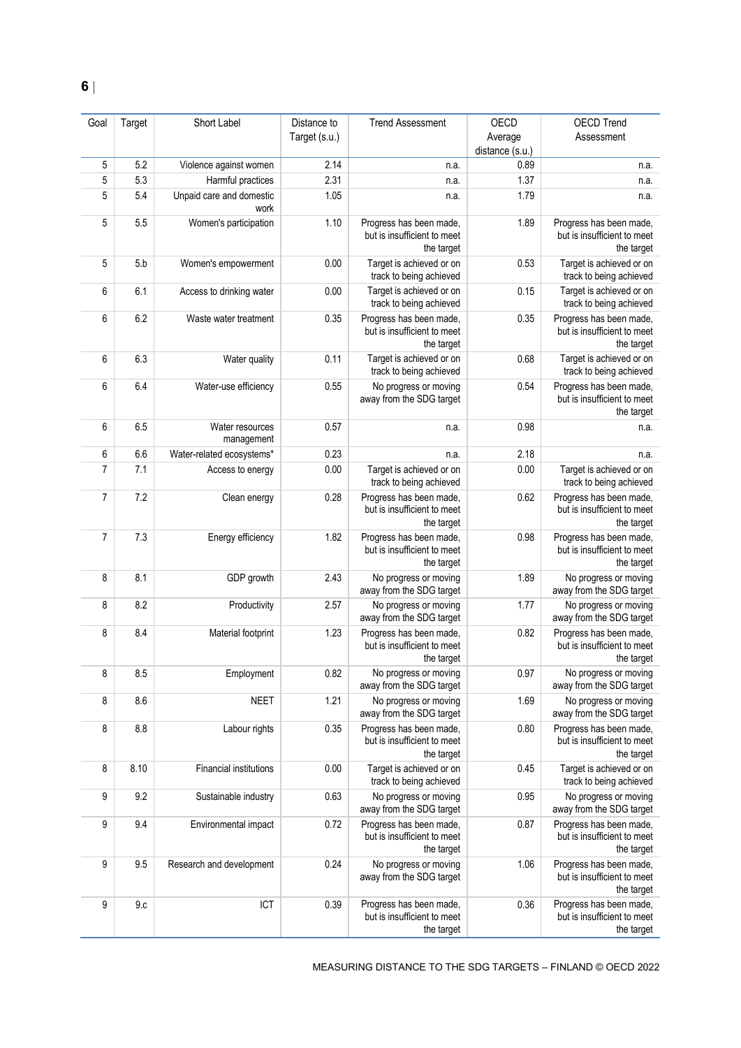| Goal           | Target | Short Label                      | Distance to   | <b>Trend Assessment</b>                                              | OECD                       | <b>OECD Trend</b>                                                    |
|----------------|--------|----------------------------------|---------------|----------------------------------------------------------------------|----------------------------|----------------------------------------------------------------------|
|                |        |                                  | Target (s.u.) |                                                                      | Average<br>distance (s.u.) | Assessment                                                           |
| 5              | 5.2    | Violence against women           | 2.14          | n.a.                                                                 | 0.89                       | n.a.                                                                 |
| 5              | 5.3    | Harmful practices                | 2.31          | n.a.                                                                 | 1.37                       | n.a.                                                                 |
| 5              | 5.4    | Unpaid care and domestic<br>work | 1.05          | n.a.                                                                 | 1.79                       | n.a.                                                                 |
| 5              | 5.5    | Women's participation            | 1.10          | Progress has been made,<br>but is insufficient to meet<br>the target | 1.89                       | Progress has been made,<br>but is insufficient to meet<br>the target |
| 5              | 5.b    | Women's empowerment              | 0.00          | Target is achieved or on<br>track to being achieved                  | 0.53                       | Target is achieved or on<br>track to being achieved                  |
| 6              | 6.1    | Access to drinking water         | 0.00          | Target is achieved or on<br>track to being achieved                  | 0.15                       | Target is achieved or on<br>track to being achieved                  |
| 6              | 6.2    | Waste water treatment            | 0.35          | Progress has been made,<br>but is insufficient to meet<br>the target | 0.35                       | Progress has been made,<br>but is insufficient to meet<br>the target |
| 6              | 6.3    | Water quality                    | 0.11          | Target is achieved or on<br>track to being achieved                  | 0.68                       | Target is achieved or on<br>track to being achieved                  |
| 6              | 6.4    | Water-use efficiency             | 0.55          | No progress or moving<br>away from the SDG target                    | 0.54                       | Progress has been made,<br>but is insufficient to meet<br>the target |
| 6              | 6.5    | Water resources<br>management    | 0.57          | n.a.                                                                 | 0.98                       | n.a.                                                                 |
| 6              | 6.6    | Water-related ecosystems*        | 0.23          | n.a.                                                                 | 2.18                       | n.a.                                                                 |
| $\overline{7}$ | 7.1    | Access to energy                 | 0.00          | Target is achieved or on<br>track to being achieved                  | 0.00                       | Target is achieved or on<br>track to being achieved                  |
| $\overline{7}$ | 7.2    | Clean energy                     | 0.28          | Progress has been made,<br>but is insufficient to meet<br>the target | 0.62                       | Progress has been made,<br>but is insufficient to meet<br>the target |
| $\overline{7}$ | 7.3    | Energy efficiency                | 1.82          | Progress has been made,<br>but is insufficient to meet<br>the target | 0.98                       | Progress has been made,<br>but is insufficient to meet<br>the target |
| 8              | 8.1    | GDP growth                       | 2.43          | No progress or moving<br>away from the SDG target                    | 1.89                       | No progress or moving<br>away from the SDG target                    |
| 8              | 8.2    | Productivity                     | 2.57          | No progress or moving<br>away from the SDG target                    | 1.77                       | No progress or moving<br>away from the SDG target                    |
| 8              | 8.4    | Material footprint               | 1.23          | Progress has been made,<br>but is insufficient to meet<br>the target | 0.82                       | Progress has been made,<br>but is insufficient to meet<br>the target |
| 8              | 8.5    | Employment                       | 0.82          | No progress or moving<br>away from the SDG target                    | 0.97                       | No progress or moving<br>away from the SDG target                    |
| 8              | 8.6    | <b>NEET</b>                      | 1.21          | No progress or moving<br>away from the SDG target                    | 1.69                       | No progress or moving<br>away from the SDG target                    |
| 8              | 8.8    | Labour rights                    | 0.35          | Progress has been made,<br>but is insufficient to meet<br>the target | 0.80                       | Progress has been made,<br>but is insufficient to meet<br>the target |
| 8              | 8.10   | Financial institutions           | 0.00          | Target is achieved or on<br>track to being achieved                  | 0.45                       | Target is achieved or on<br>track to being achieved                  |
| 9              | 9.2    | Sustainable industry             | 0.63          | No progress or moving<br>away from the SDG target                    | 0.95                       | No progress or moving<br>away from the SDG target                    |
| 9              | 9.4    | Environmental impact             | 0.72          | Progress has been made,<br>but is insufficient to meet<br>the target | 0.87                       | Progress has been made,<br>but is insufficient to meet<br>the target |
| 9              | 9.5    | Research and development         | 0.24          | No progress or moving<br>away from the SDG target                    | 1.06                       | Progress has been made,<br>but is insufficient to meet<br>the target |
| 9              | 9.c    | ICT                              | 0.39          | Progress has been made,<br>but is insufficient to meet<br>the target | 0.36                       | Progress has been made,<br>but is insufficient to meet<br>the target |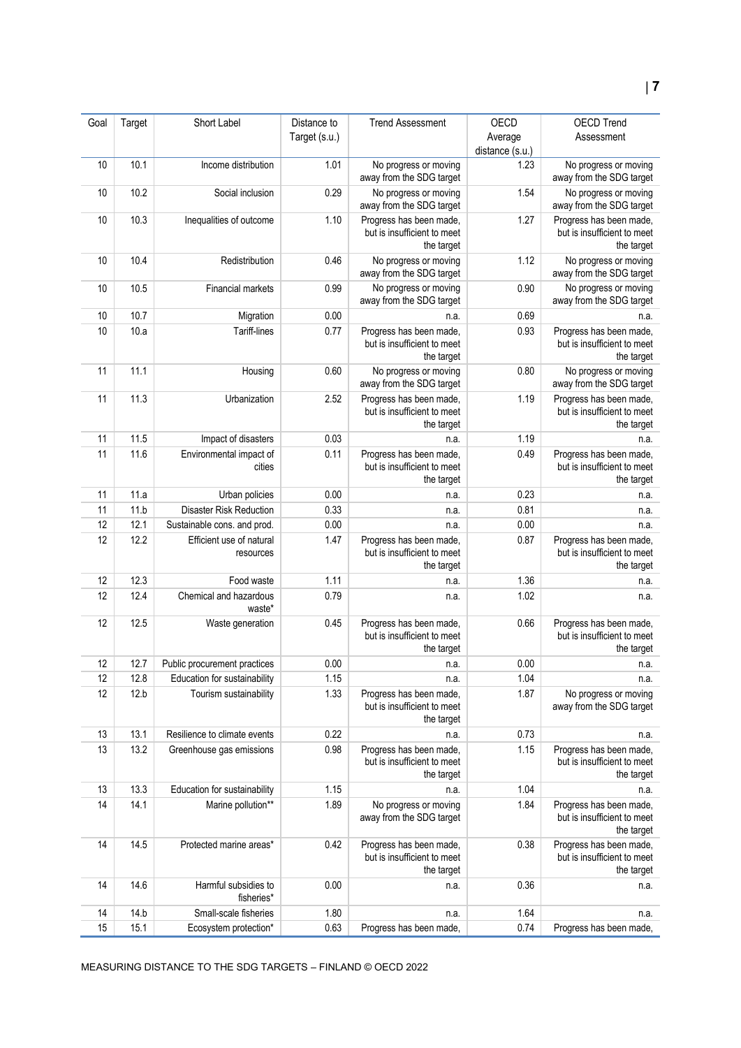| Goal | Target | Short Label                           | Distance to   | <b>Trend Assessment</b>                                              | OECD            | <b>OECD Trend</b>                                                    |
|------|--------|---------------------------------------|---------------|----------------------------------------------------------------------|-----------------|----------------------------------------------------------------------|
|      |        |                                       | Target (s.u.) |                                                                      | Average         | Assessment                                                           |
|      |        |                                       |               |                                                                      | distance (s.u.) |                                                                      |
| 10   | 10.1   | Income distribution                   | 1.01          | No progress or moving<br>away from the SDG target                    | 1.23            | No progress or moving<br>away from the SDG target                    |
| 10   | 10.2   | Social inclusion                      | 0.29          | No progress or moving<br>away from the SDG target                    | 1.54            | No progress or moving<br>away from the SDG target                    |
| 10   | 10.3   | Inequalities of outcome               | 1.10          | Progress has been made,<br>but is insufficient to meet<br>the target | 1.27            | Progress has been made,<br>but is insufficient to meet<br>the target |
| 10   | 10.4   | Redistribution                        | 0.46          | No progress or moving<br>away from the SDG target                    | 1.12            | No progress or moving<br>away from the SDG target                    |
| 10   | 10.5   | Financial markets                     | 0.99          | No progress or moving<br>away from the SDG target                    | 0.90            | No progress or moving<br>away from the SDG target                    |
| 10   | 10.7   | Migration                             | 0.00          | n.a.                                                                 | 0.69            | n.a.                                                                 |
| 10   | 10.a   | Tariff-lines                          | 0.77          | Progress has been made,<br>but is insufficient to meet<br>the target | 0.93            | Progress has been made,<br>but is insufficient to meet<br>the target |
| 11   | 11.1   | Housing                               | 0.60          | No progress or moving<br>away from the SDG target                    | 0.80            | No progress or moving<br>away from the SDG target                    |
| 11   | 11.3   | Urbanization                          | 2.52          | Progress has been made,<br>but is insufficient to meet<br>the target | 1.19            | Progress has been made,<br>but is insufficient to meet<br>the target |
| 11   | 11.5   | Impact of disasters                   | 0.03          | n.a.                                                                 | 1.19            | n.a.                                                                 |
| 11   | 11.6   | Environmental impact of<br>cities     | 0.11          | Progress has been made,<br>but is insufficient to meet<br>the target | 0.49            | Progress has been made,<br>but is insufficient to meet<br>the target |
| 11   | 11.a   | Urban policies                        | 0.00          | n.a.                                                                 | 0.23            | n.a.                                                                 |
| 11   | 11.b   | <b>Disaster Risk Reduction</b>        | 0.33          | n.a.                                                                 | 0.81            | n.a.                                                                 |
| 12   | 12.1   | Sustainable cons. and prod.           | 0.00          | n.a.                                                                 | 0.00            | n.a.                                                                 |
| 12   | 12.2   | Efficient use of natural<br>resources | 1.47          | Progress has been made,<br>but is insufficient to meet<br>the target | 0.87            | Progress has been made,<br>but is insufficient to meet<br>the target |
| 12   | 12.3   | Food waste                            | 1.11          | n.a.                                                                 | 1.36            | n.a.                                                                 |
| 12   | 12.4   | Chemical and hazardous<br>waste*      | 0.79          | n.a.                                                                 | 1.02            | n.a.                                                                 |
| 12   | 12.5   | Waste generation                      | 0.45          | Progress has been made,<br>but is insufficient to meet<br>the target | 0.66            | Progress has been made,<br>but is insufficient to meet<br>the target |
| 12   | 12.7   | Public procurement practices          | 0.00          | n.a.                                                                 | 0.00            | n.a.                                                                 |
| 12   | 12.8   | Education for sustainability          | 1.15          | n.a.                                                                 | 1.04            | n.a.                                                                 |
| 12   | 12.b   | Tourism sustainability                | 1.33          | Progress has been made,<br>but is insufficient to meet<br>the target | 1.87            | No progress or moving<br>away from the SDG target                    |
| 13   | 13.1   | Resilience to climate events          | 0.22          | n.a.                                                                 | 0.73            | n.a.                                                                 |
| 13   | 13.2   | Greenhouse gas emissions              | 0.98          | Progress has been made,<br>but is insufficient to meet<br>the target | 1.15            | Progress has been made,<br>but is insufficient to meet<br>the target |
| 13   | 13.3   | Education for sustainability          | 1.15          | n.a.                                                                 | 1.04            | n.a.                                                                 |
| 14   | 14.1   | Marine pollution**                    | 1.89          | No progress or moving<br>away from the SDG target                    | 1.84            | Progress has been made,<br>but is insufficient to meet<br>the target |
| 14   | 14.5   | Protected marine areas*               | 0.42          | Progress has been made,<br>but is insufficient to meet<br>the target | 0.38            | Progress has been made,<br>but is insufficient to meet<br>the target |
| 14   | 14.6   | Harmful subsidies to<br>fisheries*    | 0.00          | n.a.                                                                 | 0.36            | n.a.                                                                 |
| 14   | 14.b   | Small-scale fisheries                 | 1.80          | n.a.                                                                 | 1.64            | n.a.                                                                 |
| 15   | 15.1   | Ecosystem protection*                 | 0.63          | Progress has been made,                                              | 0.74            | Progress has been made,                                              |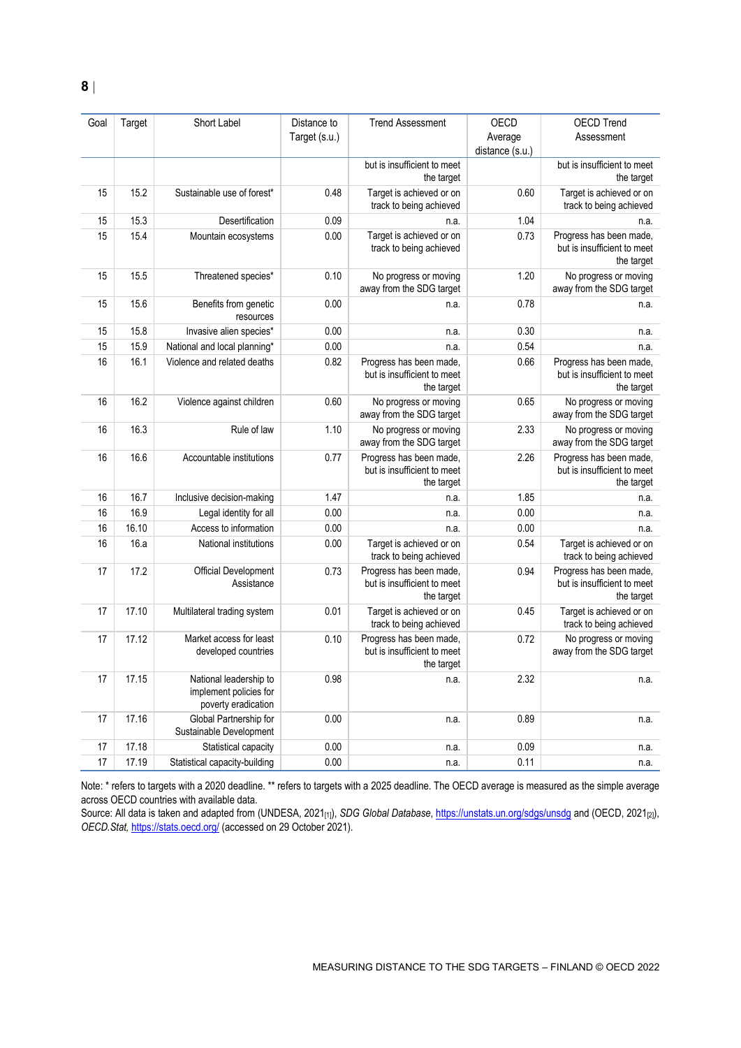| Goal | Target | Short Label                                                             | Distance to<br>Target (s.u.) | <b>Trend Assessment</b>                                              | OECD<br>Average<br>distance (s.u.) | <b>OECD Trend</b><br>Assessment                                      |
|------|--------|-------------------------------------------------------------------------|------------------------------|----------------------------------------------------------------------|------------------------------------|----------------------------------------------------------------------|
|      |        |                                                                         |                              | but is insufficient to meet<br>the target                            |                                    | but is insufficient to meet<br>the target                            |
| 15   | 15.2   | Sustainable use of forest*                                              | 0.48                         | Target is achieved or on<br>track to being achieved                  | 0.60                               | Target is achieved or on<br>track to being achieved                  |
| 15   | 15.3   | Desertification                                                         | 0.09                         | n.a.                                                                 | 1.04                               | n.a.                                                                 |
| 15   | 15.4   | Mountain ecosystems                                                     | 0.00                         | Target is achieved or on<br>track to being achieved                  | 0.73                               | Progress has been made,<br>but is insufficient to meet<br>the target |
| 15   | 15.5   | Threatened species*                                                     | 0.10                         | No progress or moving<br>away from the SDG target                    | 1.20                               | No progress or moving<br>away from the SDG target                    |
| 15   | 15.6   | Benefits from genetic<br>resources                                      | 0.00                         | n.a.                                                                 | 0.78                               | n.a.                                                                 |
| 15   | 15.8   | Invasive alien species*                                                 | 0.00                         | n.a                                                                  | 0.30                               | n.a.                                                                 |
| 15   | 15.9   | National and local planning*                                            | 0.00                         | n.a.                                                                 | 0.54                               | n.a.                                                                 |
| 16   | 16.1   | Violence and related deaths                                             | 0.82                         | Progress has been made,<br>but is insufficient to meet<br>the target | 0.66                               | Progress has been made,<br>but is insufficient to meet<br>the target |
| 16   | 16.2   | Violence against children                                               | 0.60                         | No progress or moving<br>away from the SDG target                    | 0.65                               | No progress or moving<br>away from the SDG target                    |
| 16   | 16.3   | Rule of law                                                             | 1.10                         | No progress or moving<br>away from the SDG target                    | 2.33                               | No progress or moving<br>away from the SDG target                    |
| 16   | 16.6   | Accountable institutions                                                | 0.77                         | Progress has been made,<br>but is insufficient to meet<br>the target | 2.26                               | Progress has been made,<br>but is insufficient to meet<br>the target |
| 16   | 16.7   | Inclusive decision-making                                               | 1.47                         | n.a.                                                                 | 1.85                               | n.a.                                                                 |
| 16   | 16.9   | Legal identity for all                                                  | 0.00                         | n.a.                                                                 | 0.00                               | n.a.                                                                 |
| 16   | 16.10  | Access to information                                                   | 0.00                         | n.a.                                                                 | 0.00                               | n.a.                                                                 |
| 16   | 16.a   | National institutions                                                   | 0.00                         | Target is achieved or on<br>track to being achieved                  | 0.54                               | Target is achieved or on<br>track to being achieved                  |
| 17   | 17.2   | <b>Official Development</b><br>Assistance                               | 0.73                         | Progress has been made,<br>but is insufficient to meet<br>the target | 0.94                               | Progress has been made,<br>but is insufficient to meet<br>the target |
| 17   | 17.10  | Multilateral trading system                                             | 0.01                         | Target is achieved or on<br>track to being achieved                  | 0.45                               | Target is achieved or on<br>track to being achieved                  |
| 17   | 17.12  | Market access for least<br>developed countries                          | 0.10                         | Progress has been made,<br>but is insufficient to meet<br>the target | 0.72                               | No progress or moving<br>away from the SDG target                    |
| 17   | 17.15  | National leadership to<br>implement policies for<br>poverty eradication | 0.98                         | n.a.                                                                 | 2.32                               | n.a.                                                                 |
| 17   | 17.16  | Global Partnership for<br>Sustainable Development                       | 0.00                         | n.a.                                                                 | 0.89                               | n.a.                                                                 |
| 17   | 17.18  | Statistical capacity                                                    | 0.00                         | n.a.                                                                 | 0.09                               | n.a.                                                                 |
| 17   | 17.19  | Statistical capacity-building                                           | 0.00                         | n.a.                                                                 | 0.11                               | n.a.                                                                 |

Note: \* refers to targets with a 2020 deadline. \*\* refers to targets with a 2025 deadline. The OECD average is measured as the simple average across OECD countries with available data.

Source: All data is taken and adapted from (UNDESA, 2021<sub>[1]</sub>), *SDG Global Database*[, https://unstats.un.org/sdgs/unsdg](https://unstats.un.org/sdgs/unsdg) and (OECD, 2021<sub>[2]</sub>), *OECD.Stat,* <https://stats.oecd.org/> (accessed on 29 October 2021).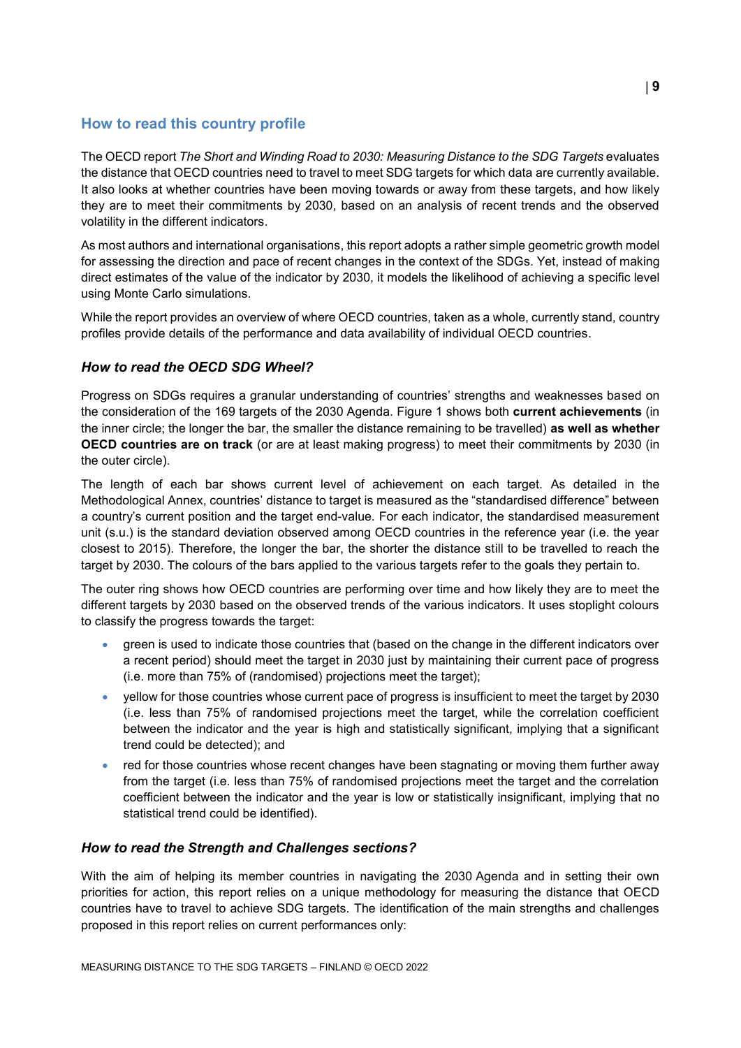# <span id="page-8-0"></span>**How to read this country profile**

The OECD report *The Short and Winding Road to 2030: Measuring Distance to the SDG Targets* evaluates the distance that OECD countries need to travel to meet SDG targets for which data are currently available. It also looks at whether countries have been moving towards or away from these targets, and how likely they are to meet their commitments by 2030, based on an analysis of recent trends and the observed volatility in the different indicators.

As most authors and international organisations, this report adopts a rather simple geometric growth model for assessing the direction and pace of recent changes in the context of the SDGs. Yet, instead of making direct estimates of the value of the indicator by 2030, it models the likelihood of achieving a specific level using Monte Carlo simulations.

While the report provides an overview of where OECD countries, taken as a whole, currently stand, country profiles provide details of the performance and data availability of individual OECD countries.

# *How to read the OECD SDG Wheel?*

Progress on SDGs requires a granular understanding of countries' strengths and weaknesses based on the consideration of the 169 targets of the 2030 Agenda. [Figure](#page-0-0) 1 shows both **current achievements** (in the inner circle; the longer the bar, the smaller the distance remaining to be travelled) **as well as whether OECD countries are on track** (or are at least making progress) to meet their commitments by 2030 (in the outer circle).

The length of each bar shows current level of achievement on each target. As detailed in the Methodological Annex, countries' distance to target is measured as the "standardised difference" between a country's current position and the target end-value. For each indicator, the standardised measurement unit (s.u.) is the standard deviation observed among OECD countries in the reference year (i.e. the year closest to 2015). Therefore, the longer the bar, the shorter the distance still to be travelled to reach the target by 2030. The colours of the bars applied to the various targets refer to the goals they pertain to.

The outer ring shows how OECD countries are performing over time and how likely they are to meet the different targets by 2030 based on the observed trends of the various indicators. It uses stoplight colours to classify the progress towards the target:

- green is used to indicate those countries that (based on the change in the different indicators over a recent period) should meet the target in 2030 just by maintaining their current pace of progress (i.e. more than 75% of (randomised) projections meet the target);
- yellow for those countries whose current pace of progress is insufficient to meet the target by 2030 (i.e. less than 75% of randomised projections meet the target, while the correlation coefficient between the indicator and the year is high and statistically significant, implying that a significant trend could be detected); and
- red for those countries whose recent changes have been stagnating or moving them further away from the target (i.e. less than 75% of randomised projections meet the target and the correlation coefficient between the indicator and the year is low or statistically insignificant, implying that no statistical trend could be identified).

# *How to read the Strength and Challenges sections?*

With the aim of helping its member countries in navigating the 2030 Agenda and in setting their own priorities for action, this report relies on a unique methodology for measuring the distance that OECD countries have to travel to achieve SDG targets. The identification of the main strengths and challenges proposed in this report relies on current performances only: